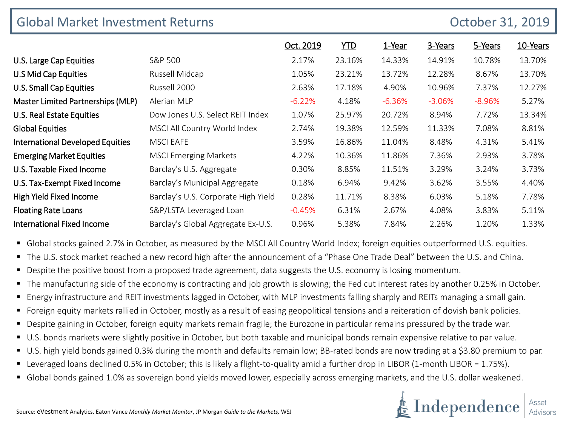| <b>Global Market Investment Returns</b> |                                     | October 31, 2019 |        |          |          |          |          |
|-----------------------------------------|-------------------------------------|------------------|--------|----------|----------|----------|----------|
|                                         |                                     | Oct. 2019        | YID    | 1-Year   | 3-Years  | 5-Years  | 10-Years |
| U.S. Large Cap Equities                 | S&P 500                             | 2.17%            | 23.16% | 14.33%   | 14.91%   | 10.78%   | 13.70%   |
| U.S Mid Cap Equities                    | Russell Midcap                      | 1.05%            | 23.21% | 13.72%   | 12.28%   | 8.67%    | 13.70%   |
| U.S. Small Cap Equities                 | Russell 2000                        | 2.63%            | 17.18% | 4.90%    | 10.96%   | 7.37%    | 12.27%   |
| Master Limited Partnerships (MLP)       | Alerian MLP                         | $-6.22%$         | 4.18%  | $-6.36%$ | $-3.06%$ | $-8.96%$ | 5.27%    |
| U.S. Real Estate Equities               | Dow Jones U.S. Select REIT Index    | 1.07%            | 25.97% | 20.72%   | 8.94%    | 7.72%    | 13.34%   |
| <b>Global Equities</b>                  | MSCI All Country World Index        | 2.74%            | 19.38% | 12.59%   | 11.33%   | 7.08%    | 8.81%    |
| <b>International Developed Equities</b> | <b>MSCI EAFE</b>                    | 3.59%            | 16.86% | 11.04%   | 8.48%    | 4.31%    | 5.41%    |
| <b>Emerging Market Equities</b>         | <b>MSCI Emerging Markets</b>        | 4.22%            | 10.36% | 11.86%   | 7.36%    | 2.93%    | 3.78%    |
| U.S. Taxable Fixed Income               | Barclay's U.S. Aggregate            | 0.30%            | 8.85%  | 11.51%   | 3.29%    | 3.24%    | 3.73%    |
| U.S. Tax-Exempt Fixed Income            | Barclay's Municipal Aggregate       | 0.18%            | 6.94%  | 9.42%    | 3.62%    | 3.55%    | 4.40%    |
| High Yield Fixed Income                 | Barclay's U.S. Corporate High Yield | 0.28%            | 11.71% | 8.38%    | 6.03%    | 5.18%    | 7.78%    |
| <b>Floating Rate Loans</b>              | S&P/LSTA Leveraged Loan             | $-0.45%$         | 6.31%  | 2.67%    | 4.08%    | 3.83%    | 5.11%    |
| <b>International Fixed Income</b>       | Barclay's Global Aggregate Ex-U.S.  | 0.96%            | 5.38%  | 7.84%    | 2.26%    | 1.20%    | 1.33%    |

**•** Global stocks gained 2.7% in October, as measured by the MSCI All Country World Index; foreign equities outperformed U.S. equities.

- The U.S. stock market reached a new record high after the announcement of a "Phase One Trade Deal" between the U.S. and China.
- Despite the positive boost from a proposed trade agreement, data suggests the U.S. economy is losing momentum.
- The manufacturing side of the economy is contracting and job growth is slowing; the Fed cut interest rates by another 0.25% in October.
- Energy infrastructure and REIT investments lagged in October, with MLP investments falling sharply and REITs managing a small gain.
- Foreign equity markets rallied in October, mostly as a result of easing geopolitical tensions and a reiteration of dovish bank policies.
- **•** Despite gaining in October, foreign equity markets remain fragile; the Eurozone in particular remains pressured by the trade war.
- U.S. bonds markets were slightly positive in October, but both taxable and municipal bonds remain expensive relative to par value.
- U.S. high yield bonds gained 0.3% during the month and defaults remain low; BB-rated bonds are now trading at a \$3.80 premium to par.
- Leveraged loans declined 0.5% in October; this is likely a flight-to-quality amid a further drop in LIBOR (1-month LIBOR = 1.75%).
- Global bonds gained 1.0% as sovereign bond yields moved lower, especially across emerging markets, and the U.S. dollar weakened.

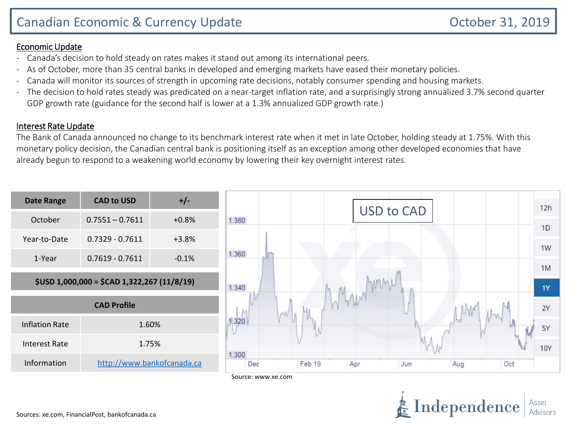#### Economic Update

- Canada's decision to hold steady on rates makes it stand out among its international peers.
- As of October, more than 35 central banks in developed and emerging markets have eased their monetary policies.
- Canada will monitor its sources of strength in upcoming rate decisions, notably consumer spending and housing markets.
- The decision to hold rates steady was predicated on a near-target inflation rate, and a surprisingly strong annualized 3.7% second quarter GDP growth rate (guidance for the second half is lower at a 1.3% annualized GDP growth rate.)

### Interest Rate Update

The Bank of Canada announced no change to its benchmark interest rate when it met in late October, holding steady at 1.75%. With this monetary policy decision, the Canadian central bank is positioning itself as an exception among other developed economies that have already begun to respond to a weakening world economy by lowering their key overnight interest rates.



Source: www.xe.com